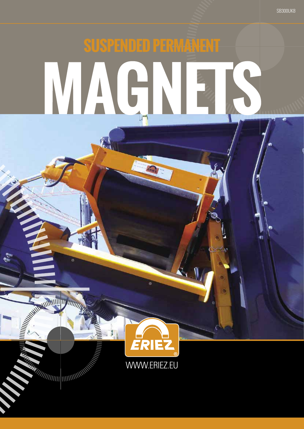# SUSPENDED PERMANENT WAG.

**SB300UK8** 



**REAL ANTIFACTURING** 

**MANUTE DESCRIPTION AND REAL PROPERTY**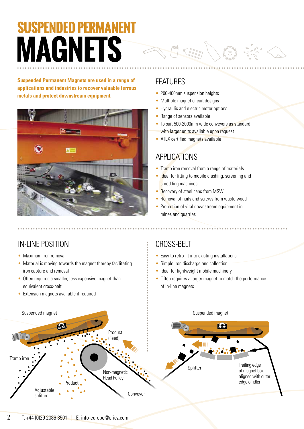# **SUSPENDED PERMANENT MAGNETS**

**Suspended Permanent Magnets are used in a range of applications and industries to recover valuable ferrous metals and protect downstream equipment.** 



### FEATURES

- 200-400mm suspension heights
- Multiple magnet circuit designs
- Hydraulic and electric motor options
- Range of sensors available
- To suit 500-2000mm wide conveyors as standard, with larger units available upon request
- ATEX certified magnets available

### **APPLICATIONS**

- Tramp iron removal from a range of materials
- Ideal for fitting to mobile crushing, screening and shredding machines
- Recovery of steel cans from MSW
- Removal of nails and screws from waste wood
- Protection of vital downstream equipment in mines and quarries

### IN-LINE POSITION

- Maximum iron removal
- Material is moving towards the magnet thereby facilitating iron capture and removal
- Often requires a smaller, less expensive magnet than equivalent cross-belt
- Extension magnets available if required

## CROSS-BELT

- Easy to retro-fit into existing installations
- Simple iron discharge and collection
- Ideal for lightweight mobile machinery
- Often requires a larger magnet to match the performance of in-line magnets

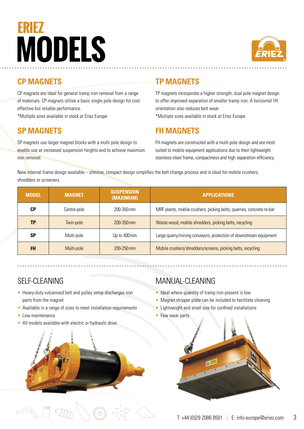# ERIEZ **MODELS**



#### **CP MAGNETS**

CP magnets are ideal for general tramp iron removal from a range of materials. CP magnets utilise a basic single pole design for cost effective but reliable performance.

\*Multiple sizes available in stock at Eriez Europe

#### **SP MAGNETS**

SP magnets use larger magnet blocks with a multi pole design to enable use at increased suspension heights and to achieve maximum iron removal.

#### **TP MAGNETS**

TP magnets incorporate a higher strength, dual pole magnet design to offer improved separation of smaller tramp iron. A horizontal lift orientation also reduces belt wear. \*Multiple sizes available in stock at Eriez Europe

#### **FH MAGNETS**

FH magnets are constructed with a multi-pole design and are most suited to mobile equipment applications due to their lightweight stainless-steel frame, compactness and high separation efficiency.

New internal frame design available – slimline, compact design simplifies the belt change process and is ideal for mobile crushers, shredders or screeners.

| <b>MODEL</b> | <b>MAGNET</b> | <b>SUSPENSION</b><br>(MAXIMUM) | <b>APPLICATIONS</b>                                                   |
|--------------|---------------|--------------------------------|-----------------------------------------------------------------------|
| СP           | Centre-pole   | 200-350 mm                     | MRF plants, mobile crushers, picking belts, quarries, concrete re-bar |
| TP           | Twin-pole     | $200 - 350$ mm                 | Waste wood, mobile shredders, picking belts, recycling                |
| SP           | Multi-pole    | Up to 400 mm                   | Large quarry/mining conveyors, protection of downstream equipment     |
| <b>FH</b>    | Multi-pole    | $200 - 250$ mm                 | Mobile crushers/shredders/screens, picking belts, recycling           |

#### SELF-CLEANING

- Heavy-duty vulcanised belt and pulley setup discharges iron parts from the magnet
- Available in a range of sizes to meet installation requirements
- Low maintenance
- All models available with electric or hydraulic drive



#### MANUAL-CLEANING

- Ideal where quantity of tramp iron present is low
- Magnet stripper plate can be included to facilitate cleaning
- Lightweight and small size for confined installations
- Few wear parts